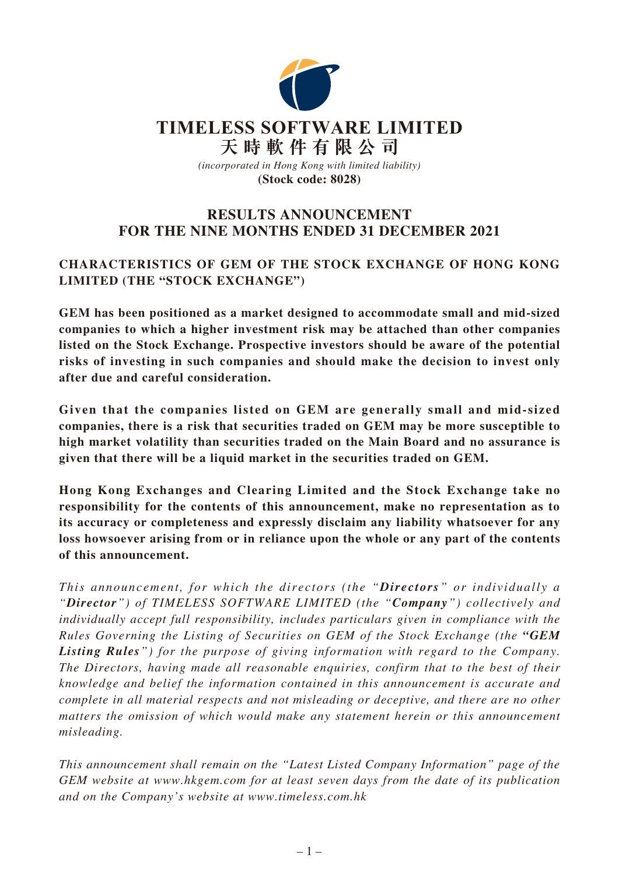

# **RESULTS ANNOUNCEMENT FOR THE NINE MONTHS ENDED 31 DECEMBER 2021**

# **CHARACTERISTICS OF GEM OF THE STOCK EXCHANGE OF HONG KONG LIMITED (THE "STOCK EXCHANGE")**

**GEM has been positioned as a market designed to accommodate small and mid-sized companies to which a higher investment risk may be attached than other companies listed on the Stock Exchange. Prospective investors should be aware of the potential risks of investing in such companies and should make the decision to invest only after due and careful consideration.**

**Given that the companies listed on GEM are generally small and mid-sized companies, there is a risk that securities traded on GEM may be more susceptible to high market volatility than securities traded on the Main Board and no assurance is given that there will be a liquid market in the securities traded on GEM.**

**Hong Kong Exchanges and Clearing Limited and the Stock Exchange take no responsibility for the contents of this announcement, make no representation as to its accuracy or completeness and expressly disclaim any liability whatsoever for any loss howsoever arising from or in reliance upon the whole or any part of the contents of this announcement.**

*This announcement, for which the directors (the "Directors" or individually a "Director") of TIMELESS SOFTWARE LIMITED (the "Company") collectively and individually accept full responsibility, includes particulars given in compliance with the Rules Governing the Listing of Securities on GEM of the Stock Exchange (the "GEM Listing Rules") for the purpose of giving information with regard to the Company. The Directors, having made all reasonable enquiries, confirm that to the best of their knowledge and belief the information contained in this announcement is accurate and complete in all material respects and not misleading or deceptive, and there are no other matters the omission of which would make any statement herein or this announcement misleading.*

*This announcement shall remain on the "Latest Listed Company Information" page of the GEM website at www.hkgem.com for at least seven days from the date of its publication and on the Company's website at www.timeless.com.hk*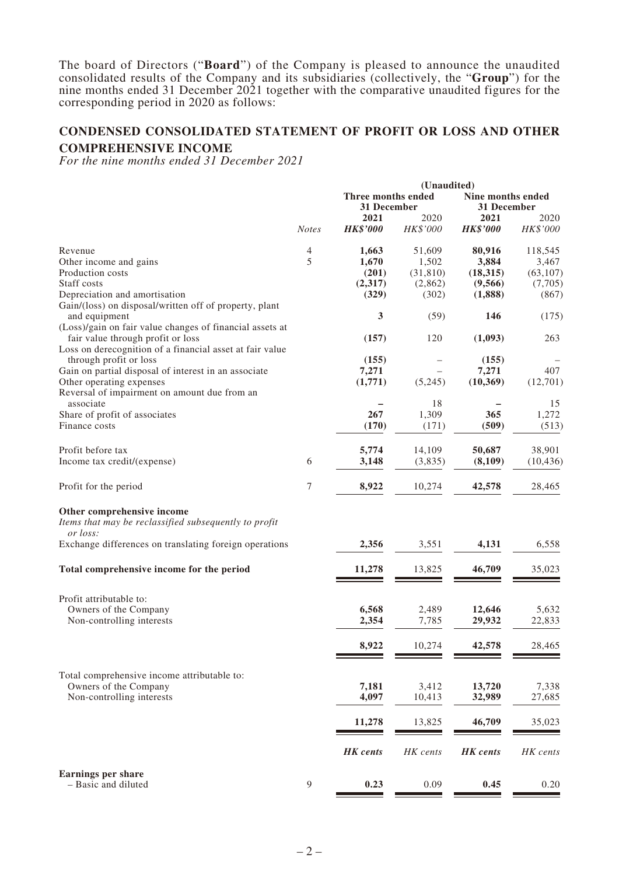The board of Directors ("**Board**") of the Company is pleased to announce the unaudited consolidated results of the Company and its subsidiaries (collectively, the "**Group**") for the nine months ended 31 December 2021 together with the comparative unaudited figures for the corresponding period in 2020 as follows:

# **CONDENSED CONSOLIDATED STATEMENT OF PROFIT OR LOSS AND OTHER**

#### **COMPREHENSIVE INCOME**

*For the nine months ended 31 December 2021*

|                                                                                               |                  | (Unaudited)                       |                  |                                  |                  |  |
|-----------------------------------------------------------------------------------------------|------------------|-----------------------------------|------------------|----------------------------------|------------------|--|
|                                                                                               |                  | Three months ended<br>31 December |                  | Nine months ended<br>31 December |                  |  |
|                                                                                               | <b>Notes</b>     | 2021<br><b>HK\$'000</b>           | 2020<br>HK\$'000 | 2021<br><b>HK\$'000</b>          | 2020<br>HK\$'000 |  |
| Revenue                                                                                       | 4                | 1,663                             | 51,609           | 80,916                           | 118,545          |  |
| Other income and gains                                                                        | 5                | 1,670                             | 1,502            | 3,884                            | 3,467            |  |
| Production costs                                                                              |                  | (201)                             | (31, 810)        | (18, 315)                        | (63, 107)        |  |
| Staff costs                                                                                   |                  | (2,317)                           | (2,862)          | (9,566)                          | (7,705)          |  |
| Depreciation and amortisation                                                                 |                  | (329)                             | (302)            | (1,888)                          | (867)            |  |
| Gain/(loss) on disposal/written off of property, plant<br>and equipment                       |                  | 3                                 | (59)             | 146                              | (175)            |  |
| (Loss)/gain on fair value changes of financial assets at<br>fair value through profit or loss |                  | (157)                             | 120              | (1,093)                          | 263              |  |
| Loss on derecognition of a financial asset at fair value                                      |                  |                                   |                  |                                  |                  |  |
| through profit or loss                                                                        |                  | (155)                             |                  | (155)                            |                  |  |
| Gain on partial disposal of interest in an associate                                          |                  | 7,271                             |                  | 7,271                            | 407              |  |
| Other operating expenses                                                                      |                  | (1,771)                           | (5,245)          | (10, 369)                        | (12,701)         |  |
| Reversal of impairment on amount due from an                                                  |                  |                                   |                  |                                  |                  |  |
| associate                                                                                     |                  | 267                               | 18<br>1,309      | 365                              | 15<br>1,272      |  |
| Share of profit of associates<br>Finance costs                                                |                  | (170)                             | (171)            | (509)                            | (513)            |  |
|                                                                                               |                  |                                   |                  |                                  |                  |  |
| Profit before tax                                                                             |                  | 5,774                             | 14,109           | 50,687                           | 38,901           |  |
| Income tax credit/(expense)                                                                   | 6                | 3,148                             | (3,835)          | (8,109)                          | (10, 436)        |  |
|                                                                                               |                  |                                   |                  |                                  |                  |  |
| Profit for the period                                                                         | $\tau$           | 8,922                             | 10,274           | 42,578                           | 28,465           |  |
| Other comprehensive income                                                                    |                  |                                   |                  |                                  |                  |  |
| Items that may be reclassified subsequently to profit<br>or loss:                             |                  |                                   |                  |                                  |                  |  |
| Exchange differences on translating foreign operations                                        |                  | 2,356                             | 3,551            | 4,131                            | 6,558            |  |
| Total comprehensive income for the period                                                     |                  | 11,278                            | 13,825           | 46,709                           | 35,023           |  |
| Profit attributable to:                                                                       |                  |                                   |                  |                                  |                  |  |
| Owners of the Company                                                                         |                  | 6,568                             | 2,489            | 12,646                           | 5,632            |  |
| Non-controlling interests                                                                     |                  | 2,354                             | 7,785            | 29,932                           | 22,833           |  |
|                                                                                               |                  |                                   |                  |                                  |                  |  |
|                                                                                               |                  | 8,922                             | 10,274           | 42,578                           | 28,465           |  |
|                                                                                               |                  |                                   |                  |                                  |                  |  |
| Total comprehensive income attributable to:                                                   |                  |                                   |                  |                                  |                  |  |
| Owners of the Company                                                                         |                  | 7,181                             | 3,412            | 13,720                           | 7,338            |  |
| Non-controlling interests                                                                     |                  | 4,097                             | 10,413           | 32,989                           | 27,685           |  |
|                                                                                               |                  | 11,278                            | 13,825           | 46,709                           | 35,023           |  |
|                                                                                               |                  | <b>HK</b> cents                   | HK cents         | <b>HK</b> cents                  | HK cents         |  |
|                                                                                               |                  |                                   |                  |                                  |                  |  |
| <b>Earnings per share</b><br>- Basic and diluted                                              | $\boldsymbol{9}$ | 0.23                              | 0.09             | 0.45                             | 0.20             |  |
|                                                                                               |                  |                                   |                  |                                  |                  |  |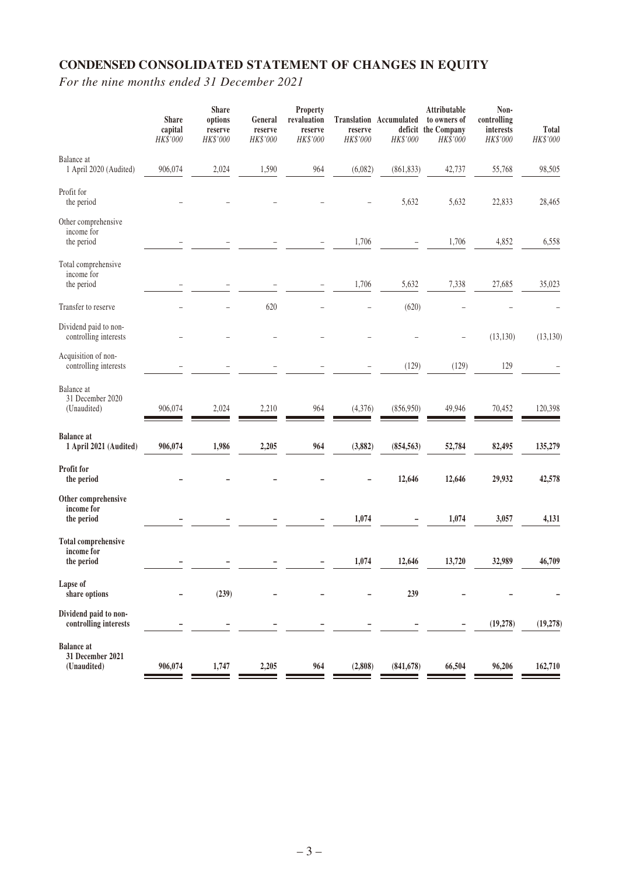# **CONDENSED CONSOLIDATED STATEMENT OF CHANGES IN EQUITY**

*For the nine months ended 31 December 2021*

|                                                        | <b>Share</b><br>capital<br>HK\$'000 | <b>Share</b><br>options<br>reserve<br>HK\$'000 | General<br>reserve<br>HK\$'000 | Property<br>revaluation<br>reserve<br>HK\$'000 | reserve<br>HK\$'000 | <b>Translation Accumulated</b><br>HK\$'000 | Attributable<br>to owners of<br>deficit the Company<br>HK\$'000 | Non-<br>controlling<br>interests<br>HK\$'000 | Total<br>HK\$'000 |
|--------------------------------------------------------|-------------------------------------|------------------------------------------------|--------------------------------|------------------------------------------------|---------------------|--------------------------------------------|-----------------------------------------------------------------|----------------------------------------------|-------------------|
| Balance at<br>1 April 2020 (Audited)                   | 906,074                             | 2,024                                          | 1,590                          | 964                                            | (6,082)             | (861, 833)                                 | 42,737                                                          | 55,768                                       | 98,505            |
| Profit for<br>the period                               |                                     |                                                |                                |                                                |                     | 5,632                                      | 5,632                                                           | 22,833                                       | 28,465            |
| Other comprehensive<br>income for<br>the period        |                                     |                                                |                                |                                                | 1,706               |                                            | 1,706                                                           | 4,852                                        | 6,558             |
| Total comprehensive<br>income for<br>the period        |                                     |                                                |                                |                                                | 1,706               | 5,632                                      | 7,338                                                           | 27,685                                       | 35,023            |
| Transfer to reserve                                    |                                     |                                                | 620                            |                                                |                     | (620)                                      |                                                                 |                                              |                   |
| Dividend paid to non-<br>controlling interests         |                                     |                                                |                                |                                                |                     |                                            |                                                                 | (13, 130)                                    | (13, 130)         |
| Acquisition of non-<br>controlling interests           |                                     |                                                |                                |                                                |                     | (129)                                      | (129)                                                           | 129                                          |                   |
| Balance at<br>31 December 2020<br>(Unaudited)          | 906,074                             | 2,024                                          | 2,210                          | 964                                            | (4, 376)            | (856,950)                                  | 49,946                                                          | 70,452                                       | 120,398           |
| <b>Balance</b> at<br>1 April 2021 (Audited)            | 906,074                             | 1,986                                          | 2,205                          | 964                                            | (3,882)             | (854, 563)                                 | 52,784                                                          | 82,495                                       | 135,279           |
| Profit for<br>the period                               |                                     |                                                |                                |                                                |                     | 12,646                                     | 12,646                                                          | 29,932                                       | 42,578            |
| Other comprehensive<br>income for<br>the period        |                                     |                                                |                                |                                                | 1,074               |                                            | 1,074                                                           | 3,057                                        | 4,131             |
| <b>Total comprehensive</b><br>income for<br>the period |                                     |                                                |                                |                                                | 1,074               | 12,646                                     | 13,720                                                          | 32,989                                       | 46,709            |
| Lapse of<br>share options                              |                                     | (239)                                          |                                |                                                |                     | 239                                        |                                                                 |                                              |                   |
| Dividend paid to non-<br>controlling interests         |                                     |                                                |                                |                                                |                     |                                            |                                                                 | (19, 278)                                    | (19, 278)         |
| <b>Balance</b> at<br>31 December 2021<br>(Unaudited)   | 906,074                             | 1,747                                          | 2,205                          | 964                                            | (2,808)             | (841, 678)                                 | 66,504                                                          | 96,206                                       | 162,710           |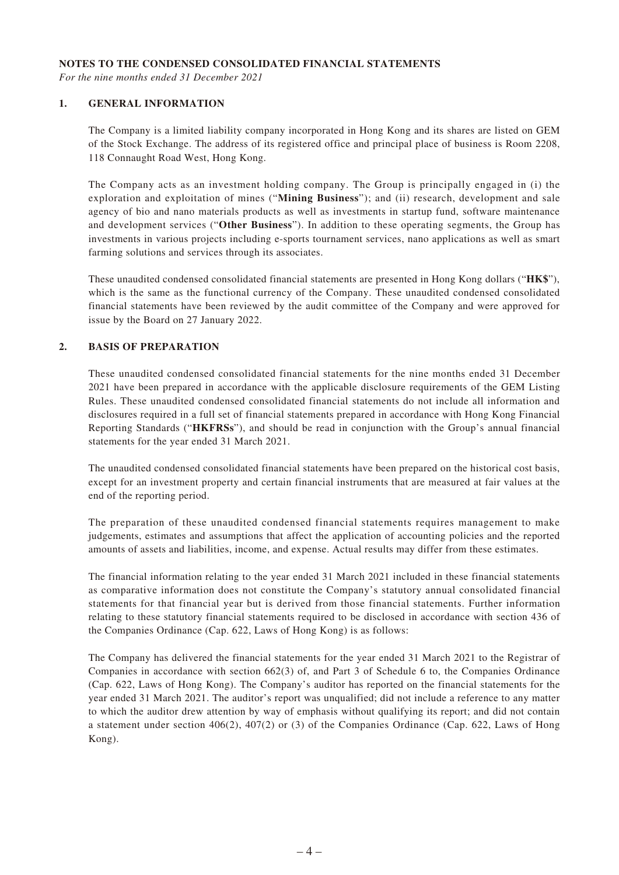#### **NOTES TO THE CONDENSED CONSOLIDATED FINANCIAL STATEMENTS**

*For the nine months ended 31 December 2021*

#### **1. GENERAL INFORMATION**

The Company is a limited liability company incorporated in Hong Kong and its shares are listed on GEM of the Stock Exchange. The address of its registered office and principal place of business is Room 2208, 118 Connaught Road West, Hong Kong.

The Company acts as an investment holding company. The Group is principally engaged in (i) the exploration and exploitation of mines ("**Mining Business**"); and (ii) research, development and sale agency of bio and nano materials products as well as investments in startup fund, software maintenance and development services ("**Other Business**"). In addition to these operating segments, the Group has investments in various projects including e-sports tournament services, nano applications as well as smart farming solutions and services through its associates.

These unaudited condensed consolidated financial statements are presented in Hong Kong dollars ("**HK\$**"), which is the same as the functional currency of the Company. These unaudited condensed consolidated financial statements have been reviewed by the audit committee of the Company and were approved for issue by the Board on 27 January 2022.

#### **2. BASIS OF PREPARATION**

These unaudited condensed consolidated financial statements for the nine months ended 31 December 2021 have been prepared in accordance with the applicable disclosure requirements of the GEM Listing Rules. These unaudited condensed consolidated financial statements do not include all information and disclosures required in a full set of financial statements prepared in accordance with Hong Kong Financial Reporting Standards ("**HKFRSs**"), and should be read in conjunction with the Group's annual financial statements for the year ended 31 March 2021.

The unaudited condensed consolidated financial statements have been prepared on the historical cost basis, except for an investment property and certain financial instruments that are measured at fair values at the end of the reporting period.

The preparation of these unaudited condensed financial statements requires management to make judgements, estimates and assumptions that affect the application of accounting policies and the reported amounts of assets and liabilities, income, and expense. Actual results may differ from these estimates.

The financial information relating to the year ended 31 March 2021 included in these financial statements as comparative information does not constitute the Company's statutory annual consolidated financial statements for that financial year but is derived from those financial statements. Further information relating to these statutory financial statements required to be disclosed in accordance with section 436 of the Companies Ordinance (Cap. 622, Laws of Hong Kong) is as follows:

The Company has delivered the financial statements for the year ended 31 March 2021 to the Registrar of Companies in accordance with section 662(3) of, and Part 3 of Schedule 6 to, the Companies Ordinance (Cap. 622, Laws of Hong Kong). The Company's auditor has reported on the financial statements for the year ended 31 March 2021. The auditor's report was unqualified; did not include a reference to any matter to which the auditor drew attention by way of emphasis without qualifying its report; and did not contain a statement under section 406(2), 407(2) or (3) of the Companies Ordinance (Cap. 622, Laws of Hong Kong).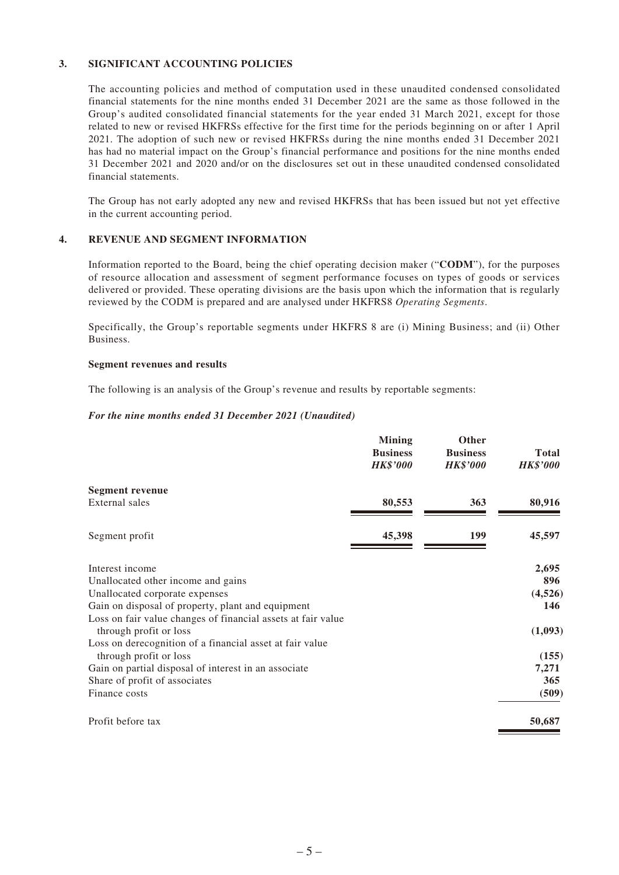#### **3. SIGNIFICANT ACCOUNTING POLICIES**

The accounting policies and method of computation used in these unaudited condensed consolidated financial statements for the nine months ended 31 December 2021 are the same as those followed in the Group's audited consolidated financial statements for the year ended 31 March 2021, except for those related to new or revised HKFRSs effective for the first time for the periods beginning on or after 1 April 2021. The adoption of such new or revised HKFRSs during the nine months ended 31 December 2021 has had no material impact on the Group's financial performance and positions for the nine months ended 31 December 2021 and 2020 and/or on the disclosures set out in these unaudited condensed consolidated financial statements.

The Group has not early adopted any new and revised HKFRSs that has been issued but not yet effective in the current accounting period.

#### **4. REVENUE AND SEGMENT INFORMATION**

Information reported to the Board, being the chief operating decision maker ("**CODM**"), for the purposes of resource allocation and assessment of segment performance focuses on types of goods or services delivered or provided. These operating divisions are the basis upon which the information that is regularly reviewed by the CODM is prepared and are analysed under HKFRS8 *Operating Segments*.

Specifically, the Group's reportable segments under HKFRS 8 are (i) Mining Business; and (ii) Other Business.

#### **Segment revenues and results**

The following is an analysis of the Group's revenue and results by reportable segments:

#### *For the nine months ended 31 December 2021 (Unaudited)*

| <b>Mining</b><br><b>Business</b><br><b>HK\$'000</b> | Other<br><b>Business</b><br><b>HK\$'000</b> | <b>Total</b><br><b>HK\$'000</b> |
|-----------------------------------------------------|---------------------------------------------|---------------------------------|
|                                                     |                                             |                                 |
|                                                     |                                             | 80,916                          |
| 45,398                                              | 199                                         | 45,597                          |
|                                                     |                                             | 2,695                           |
|                                                     |                                             | 896                             |
|                                                     |                                             | (4,526)                         |
|                                                     |                                             | 146                             |
|                                                     |                                             |                                 |
|                                                     |                                             | (1,093)                         |
|                                                     |                                             |                                 |
|                                                     |                                             | (155)                           |
|                                                     |                                             | 7,271                           |
|                                                     |                                             | 365                             |
|                                                     |                                             | (509)                           |
|                                                     |                                             | 50,687                          |
|                                                     | 80,553                                      | 363                             |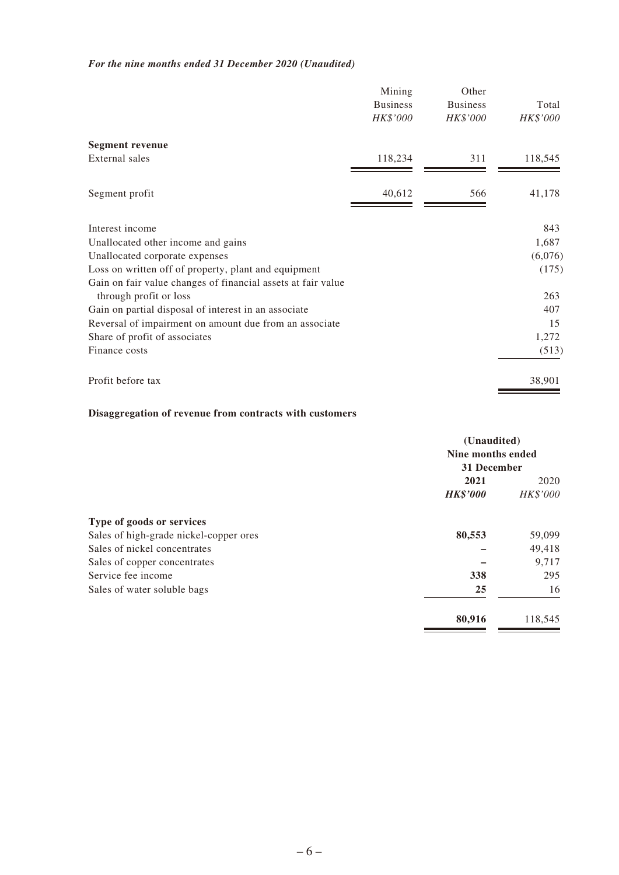### *For the nine months ended 31 December 2020 (Unaudited)*

|                                                              | Mining<br><b>Business</b><br>HK\$'000 | Other<br><b>Business</b><br>HK\$'000 | Total<br>HK\$'000 |
|--------------------------------------------------------------|---------------------------------------|--------------------------------------|-------------------|
| <b>Segment revenue</b>                                       |                                       |                                      |                   |
| External sales                                               | 118,234                               | 311                                  | 118,545           |
| Segment profit                                               | 40,612                                | 566                                  | 41,178            |
| Interest income                                              |                                       |                                      | 843               |
| Unallocated other income and gains                           |                                       |                                      | 1,687             |
| Unallocated corporate expenses                               |                                       |                                      | (6,076)           |
| Loss on written off of property, plant and equipment         |                                       |                                      | (175)             |
| Gain on fair value changes of financial assets at fair value |                                       |                                      |                   |
| through profit or loss                                       |                                       |                                      | 263               |
| Gain on partial disposal of interest in an associate         |                                       |                                      | 407               |
| Reversal of impairment on amount due from an associate       |                                       |                                      | 15                |
| Share of profit of associates                                |                                       |                                      | 1,272             |
| Finance costs                                                |                                       |                                      | (513)             |
| Profit before tax                                            |                                       |                                      | 38,901            |

### **Disaggregation of revenue from contracts with customers**

|                                        | (Unaudited)<br>Nine months ended<br>31 December |          |  |
|----------------------------------------|-------------------------------------------------|----------|--|
|                                        |                                                 |          |  |
|                                        |                                                 |          |  |
|                                        | 2021                                            |          |  |
|                                        | <b>HK\$'000</b>                                 | HK\$'000 |  |
| Type of goods or services              |                                                 |          |  |
| Sales of high-grade nickel-copper ores | 80,553                                          | 59,099   |  |
| Sales of nickel concentrates           |                                                 | 49,418   |  |
| Sales of copper concentrates           |                                                 | 9,717    |  |
| Service fee income                     | 338                                             | 295      |  |
| Sales of water soluble bags            | 25                                              | 16       |  |
|                                        | 80,916                                          | 118,545  |  |
|                                        |                                                 |          |  |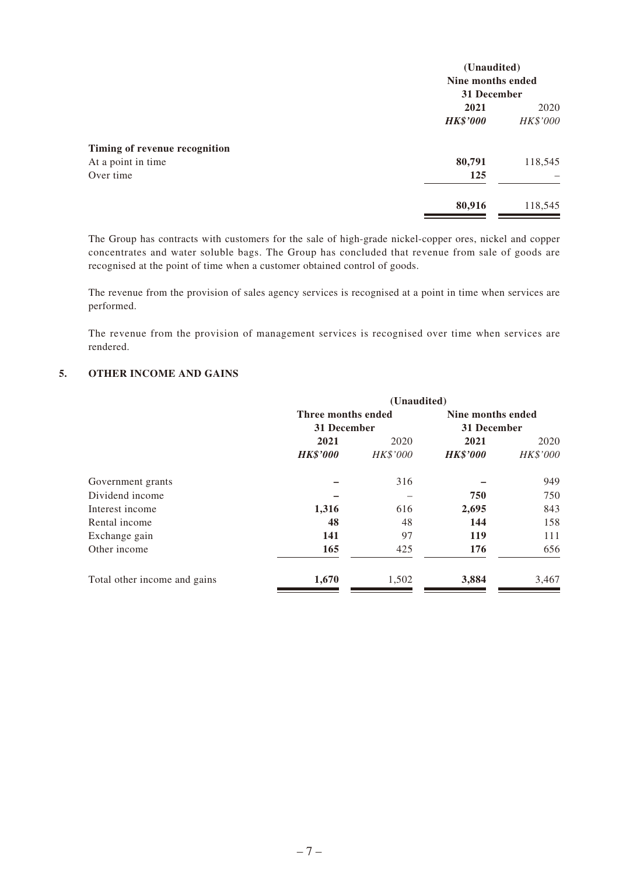|                               | (Unaudited)<br>Nine months ended<br>31 December |          |  |
|-------------------------------|-------------------------------------------------|----------|--|
|                               |                                                 |          |  |
|                               |                                                 |          |  |
|                               | 2021                                            | 2020     |  |
|                               | <b>HK\$'000</b>                                 | HK\$'000 |  |
| Timing of revenue recognition |                                                 |          |  |
| At a point in time            | 80,791                                          | 118,545  |  |
| Over time                     | 125                                             |          |  |
|                               | 80,916                                          | 118,545  |  |

The Group has contracts with customers for the sale of high-grade nickel-copper ores, nickel and copper concentrates and water soluble bags. The Group has concluded that revenue from sale of goods are recognised at the point of time when a customer obtained control of goods.

The revenue from the provision of sales agency services is recognised at a point in time when services are performed.

The revenue from the provision of management services is recognised over time when services are rendered.

#### **5. OTHER INCOME AND GAINS**

|                              |                    | (Unaudited) |                   |          |
|------------------------------|--------------------|-------------|-------------------|----------|
|                              | Three months ended |             | Nine months ended |          |
|                              | 31 December        |             | 31 December       |          |
|                              | 2021               | 2020        | 2021              | 2020     |
|                              | <b>HK\$'000</b>    | HK\$'000    | <b>HK\$'000</b>   | HK\$'000 |
| Government grants            |                    | 316         |                   | 949      |
| Dividend income              |                    |             | 750               | 750      |
| Interest income              | 1,316              | 616         | 2,695             | 843      |
| Rental income                | 48                 | 48          | 144               | 158      |
| Exchange gain                | 141                | 97          | 119               | 111      |
| Other income                 | 165                | 425         | 176               | 656      |
| Total other income and gains | 1,670              | 1,502       | 3,884             | 3,467    |
|                              |                    |             |                   |          |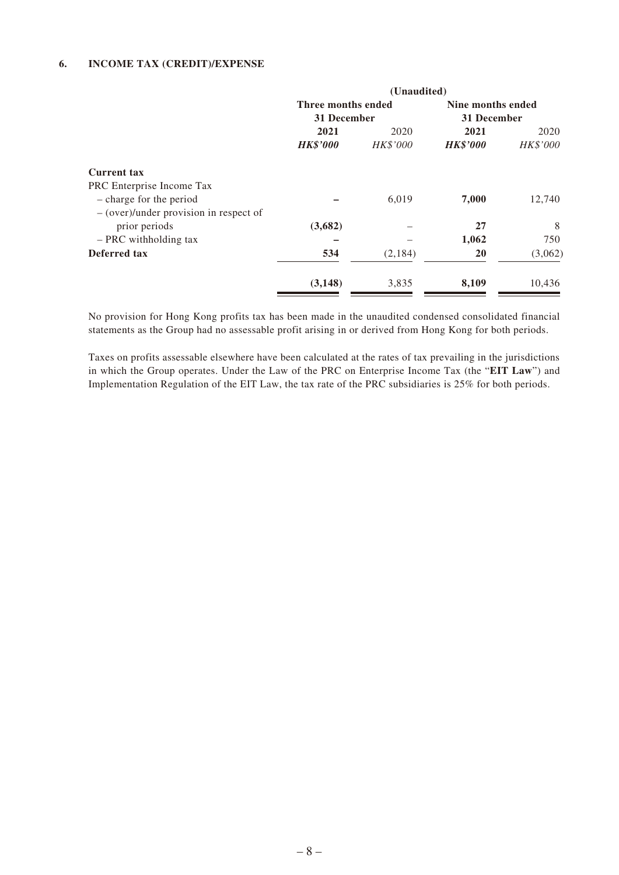#### **6. INCOME TAX (CREDIT)/EXPENSE**

|                                          | (Unaudited)        |          |                   |          |
|------------------------------------------|--------------------|----------|-------------------|----------|
|                                          | Three months ended |          | Nine months ended |          |
|                                          | 31 December        |          | 31 December       |          |
|                                          | 2021               | 2020     | 2021              | 2020     |
|                                          | <b>HK\$'000</b>    | HK\$'000 | <b>HK\$'000</b>   | HK\$'000 |
| <b>Current tax</b>                       |                    |          |                   |          |
| PRC Enterprise Income Tax                |                    |          |                   |          |
| - charge for the period                  |                    | 6,019    | 7,000             | 12,740   |
| $-$ (over)/under provision in respect of |                    |          |                   |          |
| prior periods                            | (3,682)            |          | 27                | 8        |
| - PRC withholding tax                    |                    |          | 1,062             | 750      |
| Deferred tax                             | 534                | (2,184)  | <b>20</b>         | (3,062)  |
|                                          | (3, 148)           | 3,835    | 8,109             | 10,436   |

No provision for Hong Kong profits tax has been made in the unaudited condensed consolidated financial statements as the Group had no assessable profit arising in or derived from Hong Kong for both periods.

Taxes on profits assessable elsewhere have been calculated at the rates of tax prevailing in the jurisdictions in which the Group operates. Under the Law of the PRC on Enterprise Income Tax (the "**EIT Law**") and Implementation Regulation of the EIT Law, the tax rate of the PRC subsidiaries is 25% for both periods.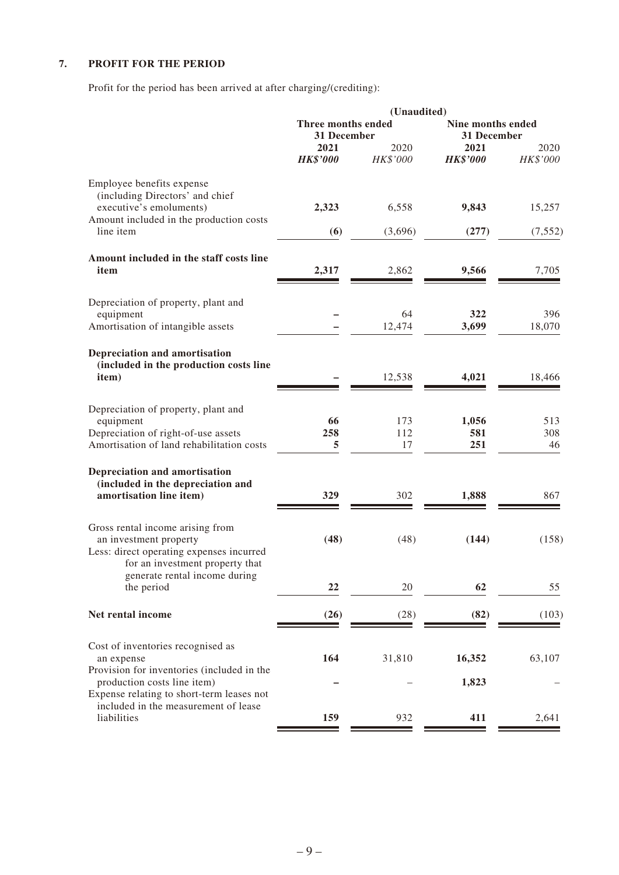### **7. PROFIT FOR THE PERIOD**

Profit for the period has been arrived at after charging/(crediting):

|                                                                                                                                           |                                   | (Unaudited)      |                                  |                  |
|-------------------------------------------------------------------------------------------------------------------------------------------|-----------------------------------|------------------|----------------------------------|------------------|
|                                                                                                                                           | Three months ended<br>31 December |                  | Nine months ended<br>31 December |                  |
|                                                                                                                                           | 2021<br><b>HK\$'000</b>           | 2020<br>HK\$'000 | 2021<br><b>HK\$'000</b>          | 2020<br>HK\$'000 |
| Employee benefits expense<br>(including Directors' and chief<br>executive's emoluments)                                                   | 2,323                             | 6,558            | 9,843                            | 15,257           |
| Amount included in the production costs<br>line item                                                                                      | (6)                               | (3,696)          | (277)                            | (7, 552)         |
| Amount included in the staff costs line<br>item                                                                                           | 2,317                             | 2,862            | 9,566                            | 7,705            |
| Depreciation of property, plant and<br>equipment<br>Amortisation of intangible assets                                                     |                                   | 64<br>12,474     | 322<br>3,699                     | 396<br>18,070    |
| Depreciation and amortisation<br>(included in the production costs line<br>item)                                                          |                                   | 12,538           | 4,021                            | 18,466           |
| Depreciation of property, plant and<br>equipment<br>Depreciation of right-of-use assets<br>Amortisation of land rehabilitation costs      | 66<br>258<br>5                    | 173<br>112<br>17 | 1,056<br>581<br>251              | 513<br>308<br>46 |
| Depreciation and amortisation<br>(included in the depreciation and<br>amortisation line item)                                             | 329                               | 302              | 1,888                            | 867              |
| Gross rental income arising from<br>an investment property<br>Less: direct operating expenses incurred<br>for an investment property that | (48)                              | (48)             | (144)                            | (158)            |
| generate rental income during<br>the period                                                                                               | 22                                | 20               | 62                               | 55               |
| Net rental income                                                                                                                         | (26)                              | (28)             | (82)                             | (103)            |
| Cost of inventories recognised as<br>an expense<br>Provision for inventories (included in the                                             | 164                               | 31,810           | 16,352                           | 63,107           |
| production costs line item)<br>Expense relating to short-term leases not                                                                  |                                   |                  | 1,823                            |                  |
| included in the measurement of lease<br>liabilities                                                                                       | 159                               | 932              | 411                              | 2,641            |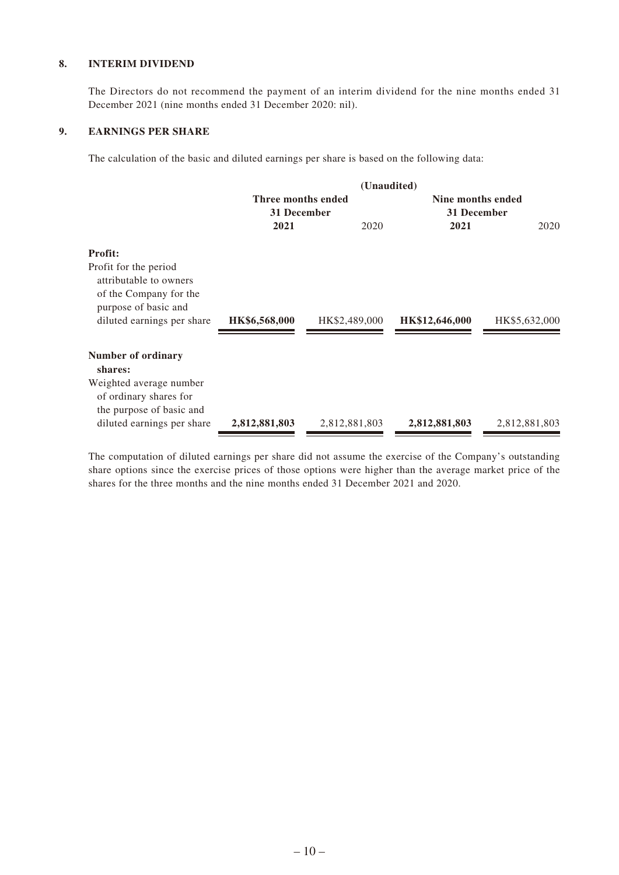#### **8. INTERIM DIVIDEND**

The Directors do not recommend the payment of an interim dividend for the nine months ended 31 December 2021 (nine months ended 31 December 2020: nil).

#### **9. EARNINGS PER SHARE**

The calculation of the basic and diluted earnings per share is based on the following data:

|                                                                                                                                 | (Unaudited)                       |               |                                  |               |  |  |
|---------------------------------------------------------------------------------------------------------------------------------|-----------------------------------|---------------|----------------------------------|---------------|--|--|
|                                                                                                                                 | Three months ended<br>31 December |               | Nine months ended<br>31 December |               |  |  |
|                                                                                                                                 | 2021                              | 2020          | 2021                             | 2020          |  |  |
| <b>Profit:</b>                                                                                                                  |                                   |               |                                  |               |  |  |
| Profit for the period<br>attributable to owners<br>of the Company for the<br>purpose of basic and<br>diluted earnings per share | HK\$6,568,000                     | HK\$2,489,000 | HK\$12,646,000                   | HK\$5,632,000 |  |  |
| Number of ordinary<br>shares:                                                                                                   |                                   |               |                                  |               |  |  |
| Weighted average number<br>of ordinary shares for<br>the purpose of basic and                                                   |                                   |               |                                  |               |  |  |
| diluted earnings per share                                                                                                      | 2,812,881,803                     | 2,812,881,803 | 2,812,881,803                    | 2,812,881,803 |  |  |

The computation of diluted earnings per share did not assume the exercise of the Company's outstanding share options since the exercise prices of those options were higher than the average market price of the shares for the three months and the nine months ended 31 December 2021 and 2020.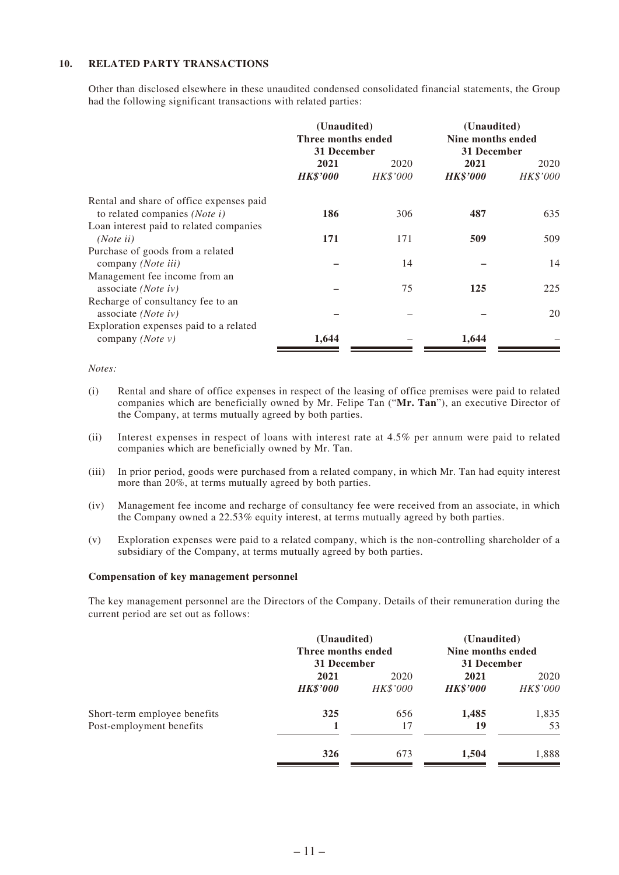#### **10. RELATED PARTY TRANSACTIONS**

Other than disclosed elsewhere in these unaudited condensed consolidated financial statements, the Group had the following significant transactions with related parties:

|                                                                              | (Unaudited)<br>Three months ended<br>31 December |                 | (Unaudited)<br>Nine months ended<br>31 December |          |
|------------------------------------------------------------------------------|--------------------------------------------------|-----------------|-------------------------------------------------|----------|
|                                                                              | 2021                                             | 2020            | 2021                                            | 2020     |
|                                                                              | <b>HK\$'000</b>                                  | <b>HK\$'000</b> | <b>HK\$'000</b>                                 | HK\$'000 |
| Rental and share of office expenses paid<br>to related companies (Note $i$ ) | 186                                              | 306             | 487                                             | 635      |
| Loan interest paid to related companies<br>(Note ii)                         | 171                                              | 171             | 509                                             | 509      |
| Purchase of goods from a related<br>company (Note iii)                       |                                                  | 14              |                                                 | 14       |
| Management fee income from an<br>associate ( <i>Note iv</i> )                |                                                  | 75              | 125                                             | 225      |
| Recharge of consultancy fee to an                                            |                                                  |                 |                                                 |          |
| associate ( <i>Note iv</i> )<br>Exploration expenses paid to a related       |                                                  |                 |                                                 | 20       |
| company (Note $v$ )                                                          | 1,644                                            |                 | 1,644                                           |          |

*Notes:*

- (i) Rental and share of office expenses in respect of the leasing of office premises were paid to related companies which are beneficially owned by Mr. Felipe Tan ("**Mr. Tan**"), an executive Director of the Company, at terms mutually agreed by both parties.
- (ii) Interest expenses in respect of loans with interest rate at 4.5% per annum were paid to related companies which are beneficially owned by Mr. Tan.
- (iii) In prior period, goods were purchased from a related company, in which Mr. Tan had equity interest more than 20%, at terms mutually agreed by both parties.
- (iv) Management fee income and recharge of consultancy fee were received from an associate, in which the Company owned a 22.53% equity interest, at terms mutually agreed by both parties.
- (v) Exploration expenses were paid to a related company, which is the non-controlling shareholder of a subsidiary of the Company, at terms mutually agreed by both parties.

#### **Compensation of key management personnel**

The key management personnel are the Directors of the Company. Details of their remuneration during the current period are set out as follows:

|                              |                 | (Unaudited)<br>Three months ended<br>31 December |                 | (Unaudited)<br>Nine months ended<br>31 December |
|------------------------------|-----------------|--------------------------------------------------|-----------------|-------------------------------------------------|
|                              | 2021            | 2020                                             | 2021            | 2020                                            |
|                              | <b>HK\$'000</b> | <i>HK\$'000</i>                                  | <b>HK\$'000</b> | HK\$'000                                        |
| Short-term employee benefits | 325             | 656                                              | 1,485           | 1,835                                           |
| Post-employment benefits     |                 | 17                                               | 19              | 53                                              |
|                              | 326             | 673                                              | 1,504           | 1,888                                           |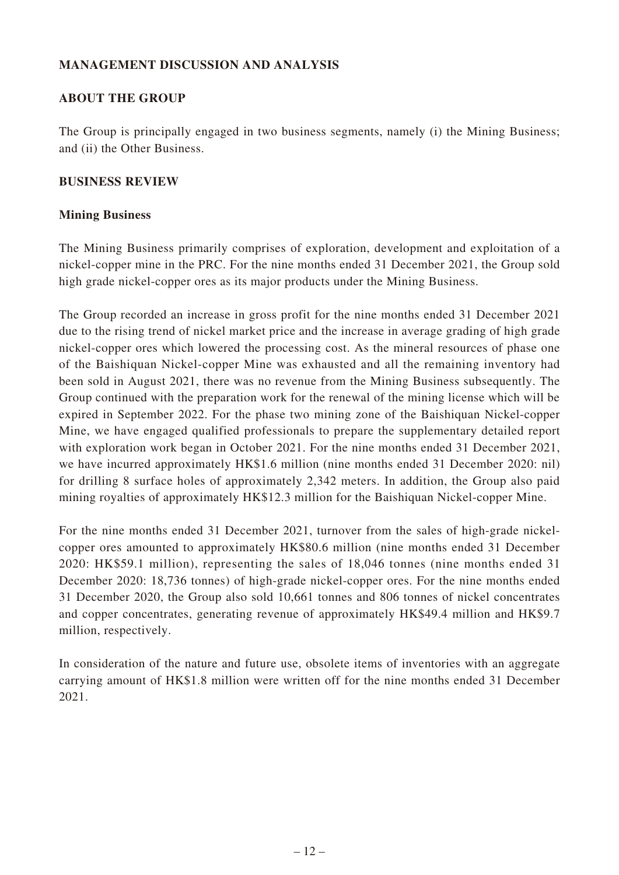### **MANAGEMENT DISCUSSION AND ANALYSIS**

### **ABOUT THE GROUP**

The Group is principally engaged in two business segments, namely (i) the Mining Business; and (ii) the Other Business.

### **BUSINESS REVIEW**

### **Mining Business**

The Mining Business primarily comprises of exploration, development and exploitation of a nickel-copper mine in the PRC. For the nine months ended 31 December 2021, the Group sold high grade nickel-copper ores as its major products under the Mining Business.

The Group recorded an increase in gross profit for the nine months ended 31 December 2021 due to the rising trend of nickel market price and the increase in average grading of high grade nickel-copper ores which lowered the processing cost. As the mineral resources of phase one of the Baishiquan Nickel-copper Mine was exhausted and all the remaining inventory had been sold in August 2021, there was no revenue from the Mining Business subsequently. The Group continued with the preparation work for the renewal of the mining license which will be expired in September 2022. For the phase two mining zone of the Baishiquan Nickel-copper Mine, we have engaged qualified professionals to prepare the supplementary detailed report with exploration work began in October 2021. For the nine months ended 31 December 2021, we have incurred approximately HK\$1.6 million (nine months ended 31 December 2020: nil) for drilling 8 surface holes of approximately 2,342 meters. In addition, the Group also paid mining royalties of approximately HK\$12.3 million for the Baishiquan Nickel-copper Mine.

For the nine months ended 31 December 2021, turnover from the sales of high-grade nickelcopper ores amounted to approximately HK\$80.6 million (nine months ended 31 December 2020: HK\$59.1 million), representing the sales of 18,046 tonnes (nine months ended 31 December 2020: 18,736 tonnes) of high-grade nickel-copper ores. For the nine months ended 31 December 2020, the Group also sold 10,661 tonnes and 806 tonnes of nickel concentrates and copper concentrates, generating revenue of approximately HK\$49.4 million and HK\$9.7 million, respectively.

In consideration of the nature and future use, obsolete items of inventories with an aggregate carrying amount of HK\$1.8 million were written off for the nine months ended 31 December 2021.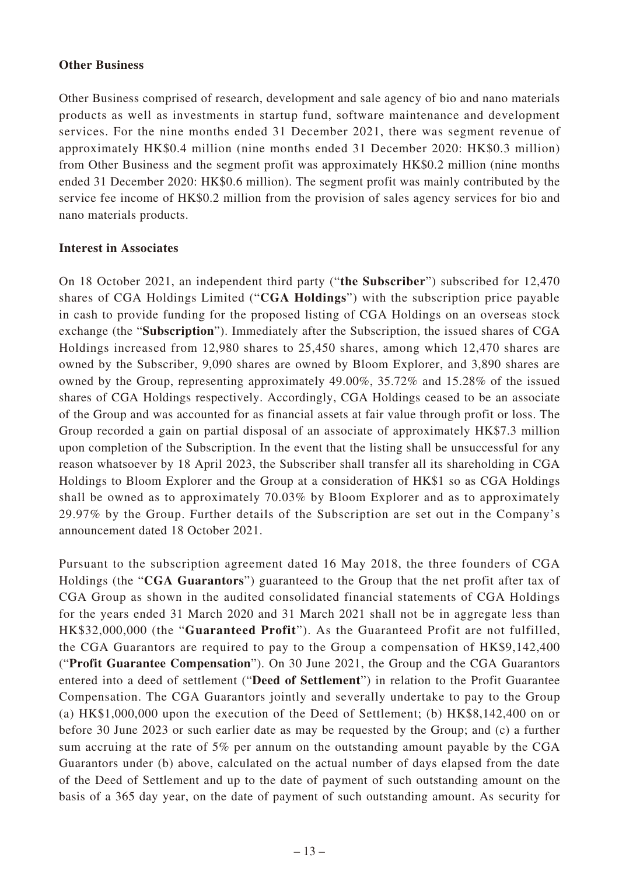#### **Other Business**

Other Business comprised of research, development and sale agency of bio and nano materials products as well as investments in startup fund, software maintenance and development services. For the nine months ended 31 December 2021, there was segment revenue of approximately HK\$0.4 million (nine months ended 31 December 2020: HK\$0.3 million) from Other Business and the segment profit was approximately HK\$0.2 million (nine months ended 31 December 2020: HK\$0.6 million). The segment profit was mainly contributed by the service fee income of HK\$0.2 million from the provision of sales agency services for bio and nano materials products.

#### **Interest in Associates**

On 18 October 2021, an independent third party ("**the Subscriber**") subscribed for 12,470 shares of CGA Holdings Limited ("**CGA Holdings**") with the subscription price payable in cash to provide funding for the proposed listing of CGA Holdings on an overseas stock exchange (the "**Subscription**"). Immediately after the Subscription, the issued shares of CGA Holdings increased from 12,980 shares to 25,450 shares, among which 12,470 shares are owned by the Subscriber, 9,090 shares are owned by Bloom Explorer, and 3,890 shares are owned by the Group, representing approximately 49.00%, 35.72% and 15.28% of the issued shares of CGA Holdings respectively. Accordingly, CGA Holdings ceased to be an associate of the Group and was accounted for as financial assets at fair value through profit or loss. The Group recorded a gain on partial disposal of an associate of approximately HK\$7.3 million upon completion of the Subscription. In the event that the listing shall be unsuccessful for any reason whatsoever by 18 April 2023, the Subscriber shall transfer all its shareholding in CGA Holdings to Bloom Explorer and the Group at a consideration of HK\$1 so as CGA Holdings shall be owned as to approximately 70.03% by Bloom Explorer and as to approximately 29.97% by the Group. Further details of the Subscription are set out in the Company's announcement dated 18 October 2021.

Pursuant to the subscription agreement dated 16 May 2018, the three founders of CGA Holdings (the "**CGA Guarantors**") guaranteed to the Group that the net profit after tax of CGA Group as shown in the audited consolidated financial statements of CGA Holdings for the years ended 31 March 2020 and 31 March 2021 shall not be in aggregate less than HK\$32,000,000 (the "**Guaranteed Profit**"). As the Guaranteed Profit are not fulfilled, the CGA Guarantors are required to pay to the Group a compensation of HK\$9,142,400 ("**Profit Guarantee Compensation**"). On 30 June 2021, the Group and the CGA Guarantors entered into a deed of settlement ("**Deed of Settlement**") in relation to the Profit Guarantee Compensation. The CGA Guarantors jointly and severally undertake to pay to the Group (a) HK\$1,000,000 upon the execution of the Deed of Settlement; (b) HK\$8,142,400 on or before 30 June 2023 or such earlier date as may be requested by the Group; and (c) a further sum accruing at the rate of 5% per annum on the outstanding amount payable by the CGA Guarantors under (b) above, calculated on the actual number of days elapsed from the date of the Deed of Settlement and up to the date of payment of such outstanding amount on the basis of a 365 day year, on the date of payment of such outstanding amount. As security for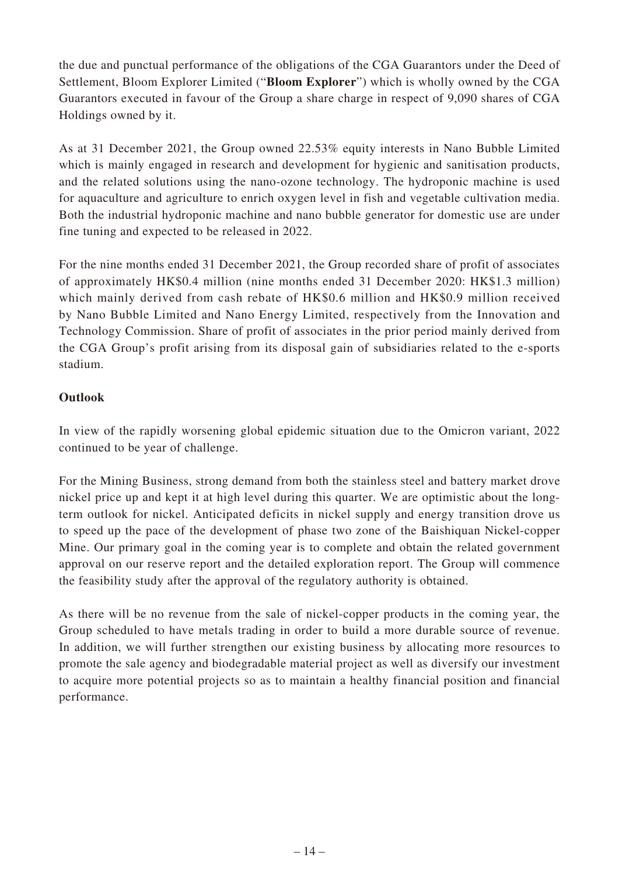the due and punctual performance of the obligations of the CGA Guarantors under the Deed of Settlement, Bloom Explorer Limited ("**Bloom Explorer**") which is wholly owned by the CGA Guarantors executed in favour of the Group a share charge in respect of 9,090 shares of CGA Holdings owned by it.

As at 31 December 2021, the Group owned 22.53% equity interests in Nano Bubble Limited which is mainly engaged in research and development for hygienic and sanitisation products, and the related solutions using the nano-ozone technology. The hydroponic machine is used for aquaculture and agriculture to enrich oxygen level in fish and vegetable cultivation media. Both the industrial hydroponic machine and nano bubble generator for domestic use are under fine tuning and expected to be released in 2022.

For the nine months ended 31 December 2021, the Group recorded share of profit of associates of approximately HK\$0.4 million (nine months ended 31 December 2020: HK\$1.3 million) which mainly derived from cash rebate of HK\$0.6 million and HK\$0.9 million received by Nano Bubble Limited and Nano Energy Limited, respectively from the Innovation and Technology Commission. Share of profit of associates in the prior period mainly derived from the CGA Group's profit arising from its disposal gain of subsidiaries related to the e-sports stadium.

# **Outlook**

In view of the rapidly worsening global epidemic situation due to the Omicron variant, 2022 continued to be year of challenge.

For the Mining Business, strong demand from both the stainless steel and battery market drove nickel price up and kept it at high level during this quarter. We are optimistic about the longterm outlook for nickel. Anticipated deficits in nickel supply and energy transition drove us to speed up the pace of the development of phase two zone of the Baishiquan Nickel-copper Mine. Our primary goal in the coming year is to complete and obtain the related government approval on our reserve report and the detailed exploration report. The Group will commence the feasibility study after the approval of the regulatory authority is obtained.

As there will be no revenue from the sale of nickel-copper products in the coming year, the Group scheduled to have metals trading in order to build a more durable source of revenue. In addition, we will further strengthen our existing business by allocating more resources to promote the sale agency and biodegradable material project as well as diversify our investment to acquire more potential projects so as to maintain a healthy financial position and financial performance.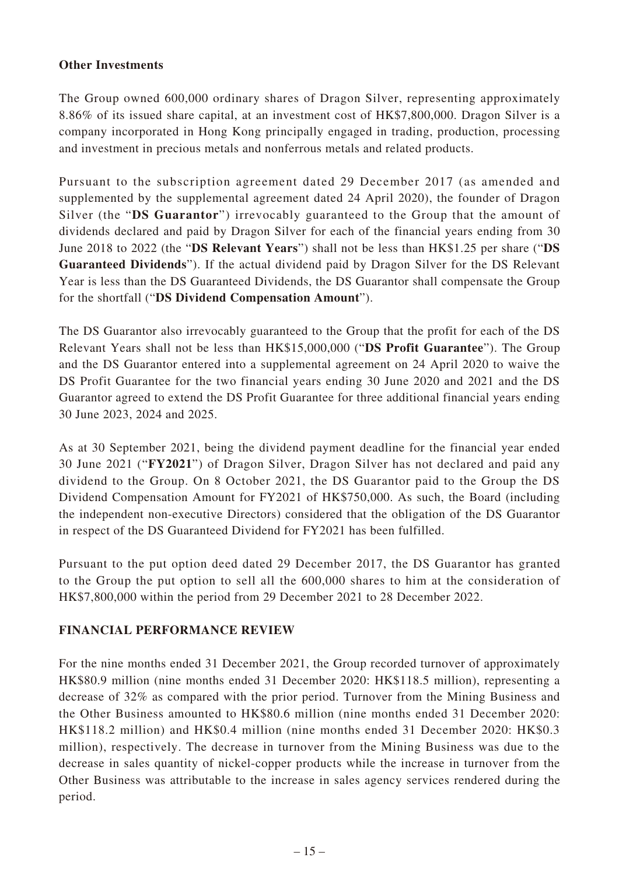### **Other Investments**

The Group owned 600,000 ordinary shares of Dragon Silver, representing approximately 8.86% of its issued share capital, at an investment cost of HK\$7,800,000. Dragon Silver is a company incorporated in Hong Kong principally engaged in trading, production, processing and investment in precious metals and nonferrous metals and related products.

Pursuant to the subscription agreement dated 29 December 2017 (as amended and supplemented by the supplemental agreement dated 24 April 2020), the founder of Dragon Silver (the "**DS Guarantor**") irrevocably guaranteed to the Group that the amount of dividends declared and paid by Dragon Silver for each of the financial years ending from 30 June 2018 to 2022 (the "**DS Relevant Years**") shall not be less than HK\$1.25 per share ("**DS Guaranteed Dividends**"). If the actual dividend paid by Dragon Silver for the DS Relevant Year is less than the DS Guaranteed Dividends, the DS Guarantor shall compensate the Group for the shortfall ("**DS Dividend Compensation Amount**").

The DS Guarantor also irrevocably guaranteed to the Group that the profit for each of the DS Relevant Years shall not be less than HK\$15,000,000 ("**DS Profit Guarantee**"). The Group and the DS Guarantor entered into a supplemental agreement on 24 April 2020 to waive the DS Profit Guarantee for the two financial years ending 30 June 2020 and 2021 and the DS Guarantor agreed to extend the DS Profit Guarantee for three additional financial years ending 30 June 2023, 2024 and 2025.

As at 30 September 2021, being the dividend payment deadline for the financial year ended 30 June 2021 ("**FY2021**") of Dragon Silver, Dragon Silver has not declared and paid any dividend to the Group. On 8 October 2021, the DS Guarantor paid to the Group the DS Dividend Compensation Amount for FY2021 of HK\$750,000. As such, the Board (including the independent non-executive Directors) considered that the obligation of the DS Guarantor in respect of the DS Guaranteed Dividend for FY2021 has been fulfilled.

Pursuant to the put option deed dated 29 December 2017, the DS Guarantor has granted to the Group the put option to sell all the 600,000 shares to him at the consideration of HK\$7,800,000 within the period from 29 December 2021 to 28 December 2022.

### **FINANCIAL PERFORMANCE REVIEW**

For the nine months ended 31 December 2021, the Group recorded turnover of approximately HK\$80.9 million (nine months ended 31 December 2020: HK\$118.5 million), representing a decrease of 32% as compared with the prior period. Turnover from the Mining Business and the Other Business amounted to HK\$80.6 million (nine months ended 31 December 2020: HK\$118.2 million) and HK\$0.4 million (nine months ended 31 December 2020: HK\$0.3 million), respectively. The decrease in turnover from the Mining Business was due to the decrease in sales quantity of nickel-copper products while the increase in turnover from the Other Business was attributable to the increase in sales agency services rendered during the period.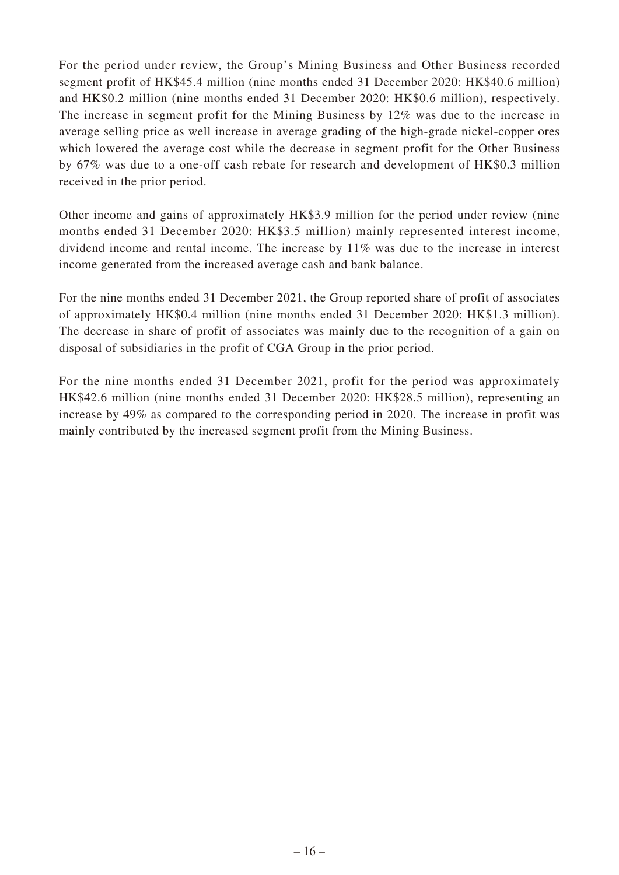For the period under review, the Group's Mining Business and Other Business recorded segment profit of HK\$45.4 million (nine months ended 31 December 2020: HK\$40.6 million) and HK\$0.2 million (nine months ended 31 December 2020: HK\$0.6 million), respectively. The increase in segment profit for the Mining Business by 12% was due to the increase in average selling price as well increase in average grading of the high-grade nickel-copper ores which lowered the average cost while the decrease in segment profit for the Other Business by 67% was due to a one-off cash rebate for research and development of HK\$0.3 million received in the prior period.

Other income and gains of approximately HK\$3.9 million for the period under review (nine months ended 31 December 2020: HK\$3.5 million) mainly represented interest income, dividend income and rental income. The increase by 11% was due to the increase in interest income generated from the increased average cash and bank balance.

For the nine months ended 31 December 2021, the Group reported share of profit of associates of approximately HK\$0.4 million (nine months ended 31 December 2020: HK\$1.3 million). The decrease in share of profit of associates was mainly due to the recognition of a gain on disposal of subsidiaries in the profit of CGA Group in the prior period.

For the nine months ended 31 December 2021, profit for the period was approximately HK\$42.6 million (nine months ended 31 December 2020: HK\$28.5 million), representing an increase by 49% as compared to the corresponding period in 2020. The increase in profit was mainly contributed by the increased segment profit from the Mining Business.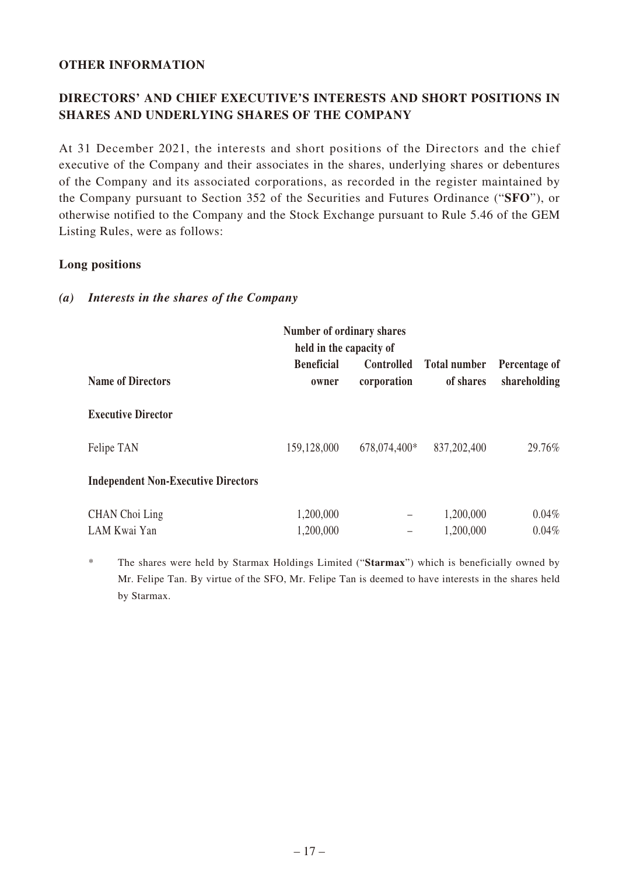### **OTHER INFORMATION**

# **DIRECTORS' AND CHIEF EXECUTIVE'S INTERESTS AND SHORT POSITIONS IN SHARES AND UNDERLYING SHARES OF THE COMPANY**

At 31 December 2021, the interests and short positions of the Directors and the chief executive of the Company and their associates in the shares, underlying shares or debentures of the Company and its associated corporations, as recorded in the register maintained by the Company pursuant to Section 352 of the Securities and Futures Ordinance ("**SFO**"), or otherwise notified to the Company and the Stock Exchange pursuant to Rule 5.46 of the GEM Listing Rules, were as follows:

#### **Long positions**

| Number of ordinary shares<br>held in the capacity of |                            |                                  |                                  |                               |  |  |
|------------------------------------------------------|----------------------------|----------------------------------|----------------------------------|-------------------------------|--|--|
| <b>Name of Directors</b>                             | <b>Beneficial</b><br>owner | <b>Controlled</b><br>corporation | <b>Total number</b><br>of shares | Percentage of<br>shareholding |  |  |
| <b>Executive Director</b>                            |                            |                                  |                                  |                               |  |  |
| Felipe TAN                                           | 159,128,000                | 678,074,400*                     | 837,202,400                      | 29.76%                        |  |  |
| <b>Independent Non-Executive Directors</b>           |                            |                                  |                                  |                               |  |  |
| CHAN Choi Ling<br>LAM Kwai Yan                       | 1,200,000<br>1,200,000     | $\qquad \qquad -$                | 1,200,000<br>1,200,000           | $0.04\%$<br>$0.04\%$          |  |  |

#### *(a) Interests in the shares of the Company*

\* The shares were held by Starmax Holdings Limited ("**Starmax**") which is beneficially owned by Mr. Felipe Tan. By virtue of the SFO, Mr. Felipe Tan is deemed to have interests in the shares held by Starmax.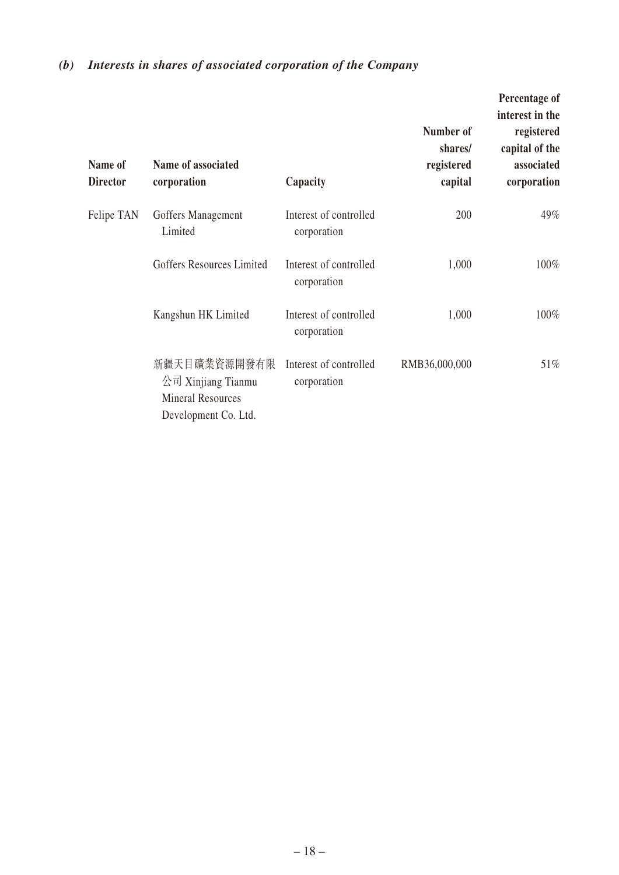# *(b) Interests in shares of associated corporation of the Company*

| Name of<br><b>Director</b> | Name of associated<br>corporation                                                      | Capacity                              | Number of<br>shares/<br>registered<br>capital | Percentage of<br>interest in the<br>registered<br>capital of the<br>associated<br>corporation |
|----------------------------|----------------------------------------------------------------------------------------|---------------------------------------|-----------------------------------------------|-----------------------------------------------------------------------------------------------|
| Felipe TAN                 | Goffers Management<br>Limited                                                          | Interest of controlled<br>corporation | 200                                           | 49%                                                                                           |
|                            | Goffers Resources Limited                                                              | Interest of controlled<br>corporation | 1,000                                         | 100%                                                                                          |
|                            | Kangshun HK Limited                                                                    | Interest of controlled<br>corporation | 1,000                                         | 100%                                                                                          |
|                            | 新疆天目礦業資源開發有限<br>公司 Xinjiang Tianmu<br><b>Mineral Resources</b><br>Development Co. Ltd. | Interest of controlled<br>corporation | RMB36,000,000                                 | 51%                                                                                           |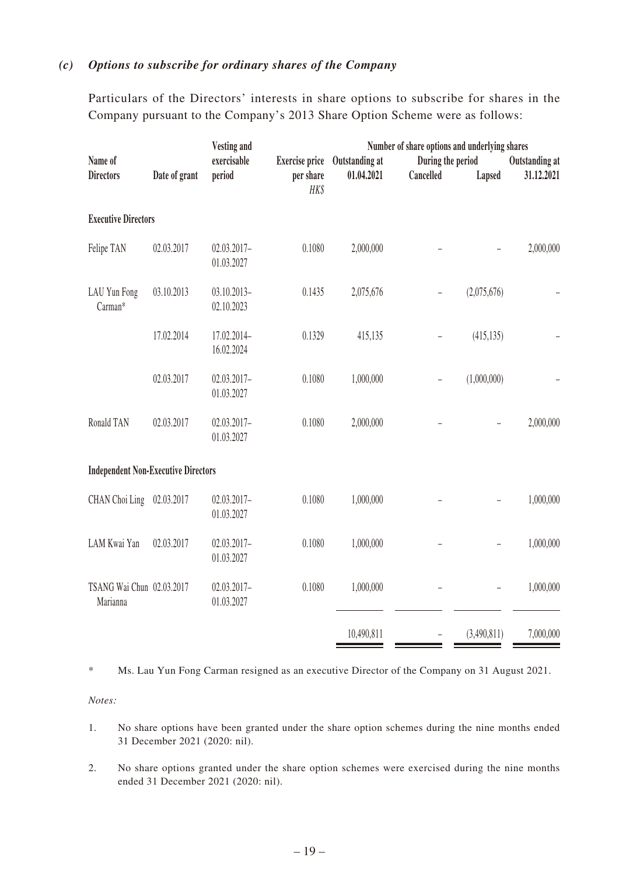# *(c) Options to subscribe for ordinary shares of the Company*

Particulars of the Directors' interests in share options to subscribe for shares in the Company pursuant to the Company's 2013 Share Option Scheme were as follows:

|                                            | <b>Vesting and</b> |                              |                       |                |                   | Number of share options and underlying shares |                |
|--------------------------------------------|--------------------|------------------------------|-----------------------|----------------|-------------------|-----------------------------------------------|----------------|
| Name of                                    |                    | exercisable                  | <b>Exercise price</b> | Outstanding at | During the period |                                               | Outstanding at |
| <b>Directors</b>                           | Date of grant      | period                       | per share<br>HK\$     | 01.04.2021     | Cancelled         | Lapsed                                        | 31.12.2021     |
| <b>Executive Directors</b>                 |                    |                              |                       |                |                   |                                               |                |
| Felipe TAN                                 | 02.03.2017         | $02.03.2017 -$<br>01.03.2027 | 0.1080                | 2,000,000      |                   |                                               | 2,000,000      |
| LAU Yun Fong<br>Carman*                    | 03.10.2013         | $03.10.2013 -$<br>02.10.2023 | 0.1435                | 2,075,676      |                   | (2,075,676)                                   |                |
|                                            | 17.02.2014         | 17.02.2014-<br>16.02.2024    | 0.1329                | 415,135        |                   | (415, 135)                                    |                |
|                                            | 02.03.2017         | 02.03.2017-<br>01.03.2027    | 0.1080                | 1,000,000      | $\overline{a}$    | (1,000,000)                                   |                |
| Ronald TAN                                 | 02.03.2017         | 02.03.2017-<br>01.03.2027    | 0.1080                | 2,000,000      |                   |                                               | 2,000,000      |
| <b>Independent Non-Executive Directors</b> |                    |                              |                       |                |                   |                                               |                |
| CHAN Choi Ling 02.03.2017                  |                    | $02.03.2017 -$<br>01.03.2027 | 0.1080                | 1,000,000      |                   |                                               | 1,000,000      |
| LAM Kwai Yan                               | 02.03.2017         | $02.03.2017 -$<br>01.03.2027 | 0.1080                | 1,000,000      |                   |                                               | 1,000,000      |
| TSANG Wai Chun 02.03.2017<br>Marianna      |                    | $02.03.2017 -$<br>01.03.2027 | 0.1080                | 1,000,000      |                   |                                               | 1,000,000      |
|                                            |                    |                              |                       | 10,490,811     | $\overline{a}$    | (3,490,811)                                   | 7,000,000      |

\* Ms. Lau Yun Fong Carman resigned as an executive Director of the Company on 31 August 2021.

*Notes:*

- 1. No share options have been granted under the share option schemes during the nine months ended 31 December 2021 (2020: nil).
- 2. No share options granted under the share option schemes were exercised during the nine months ended 31 December 2021 (2020: nil).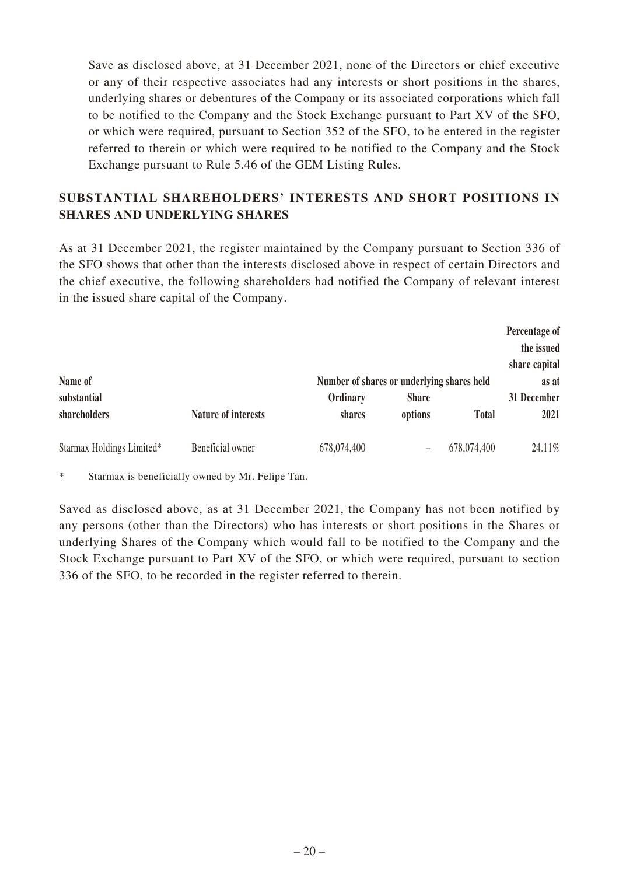Save as disclosed above, at 31 December 2021, none of the Directors or chief executive or any of their respective associates had any interests or short positions in the shares, underlying shares or debentures of the Company or its associated corporations which fall to be notified to the Company and the Stock Exchange pursuant to Part XV of the SFO, or which were required, pursuant to Section 352 of the SFO, to be entered in the register referred to therein or which were required to be notified to the Company and the Stock Exchange pursuant to Rule 5.46 of the GEM Listing Rules.

### **SUBSTANTIAL SHAREHOLDERS' INTERESTS AND SHORT POSITIONS IN SHARES AND UNDERLYING SHARES**

As at 31 December 2021, the register maintained by the Company pursuant to Section 336 of the SFO shows that other than the interests disclosed above in respect of certain Directors and the chief executive, the following shareholders had notified the Company of relevant interest in the issued share capital of the Company.

|                           |                            |                                                        |              |              | Percentage of<br>the issued<br>share capital |
|---------------------------|----------------------------|--------------------------------------------------------|--------------|--------------|----------------------------------------------|
| Name of<br>substantial    |                            | Number of shares or underlying shares held<br>Ordinary | <b>Share</b> |              | as at<br>31 December                         |
| shareholders              | <b>Nature of interests</b> | shares                                                 | options      | <b>Total</b> | 2021                                         |
| Starmax Holdings Limited* | Beneficial owner           | 678,074,400                                            |              | 678,074,400  | 24.11%                                       |

\* Starmax is beneficially owned by Mr. Felipe Tan.

Saved as disclosed above, as at 31 December 2021, the Company has not been notified by any persons (other than the Directors) who has interests or short positions in the Shares or underlying Shares of the Company which would fall to be notified to the Company and the Stock Exchange pursuant to Part XV of the SFO, or which were required, pursuant to section 336 of the SFO, to be recorded in the register referred to therein.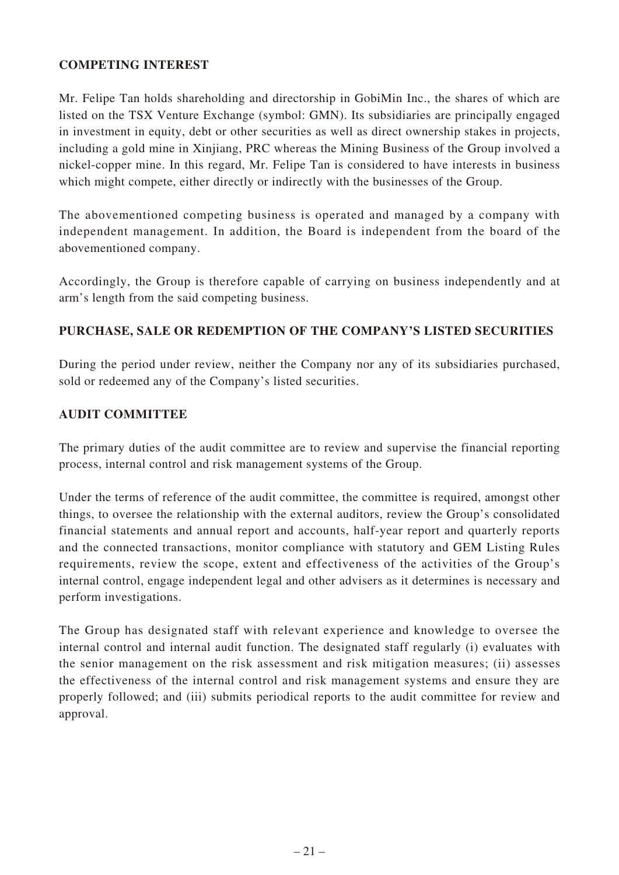### **COMPETING INTEREST**

Mr. Felipe Tan holds shareholding and directorship in GobiMin Inc., the shares of which are listed on the TSX Venture Exchange (symbol: GMN). Its subsidiaries are principally engaged in investment in equity, debt or other securities as well as direct ownership stakes in projects, including a gold mine in Xinjiang, PRC whereas the Mining Business of the Group involved a nickel-copper mine. In this regard, Mr. Felipe Tan is considered to have interests in business which might compete, either directly or indirectly with the businesses of the Group.

The abovementioned competing business is operated and managed by a company with independent management. In addition, the Board is independent from the board of the abovementioned company.

Accordingly, the Group is therefore capable of carrying on business independently and at arm's length from the said competing business.

### **PURCHASE, SALE OR REDEMPTION OF THE COMPANY'S LISTED SECURITIES**

During the period under review, neither the Company nor any of its subsidiaries purchased, sold or redeemed any of the Company's listed securities.

### **AUDIT COMMITTEE**

The primary duties of the audit committee are to review and supervise the financial reporting process, internal control and risk management systems of the Group.

Under the terms of reference of the audit committee, the committee is required, amongst other things, to oversee the relationship with the external auditors, review the Group's consolidated financial statements and annual report and accounts, half-year report and quarterly reports and the connected transactions, monitor compliance with statutory and GEM Listing Rules requirements, review the scope, extent and effectiveness of the activities of the Group's internal control, engage independent legal and other advisers as it determines is necessary and perform investigations.

The Group has designated staff with relevant experience and knowledge to oversee the internal control and internal audit function. The designated staff regularly (i) evaluates with the senior management on the risk assessment and risk mitigation measures; (ii) assesses the effectiveness of the internal control and risk management systems and ensure they are properly followed; and (iii) submits periodical reports to the audit committee for review and approval.